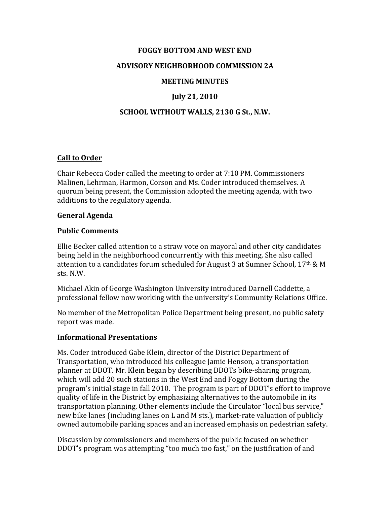## **FOGGY BOTTOM AND WEST END**

## **ADVISORY NEIGHBORHOOD COMMISSION 2A**

#### **MEETING MINUTES**

# **July 21, 2010**

### **SCHOOL WITHOUT WALLS, 2130 G St., N.W.**

### **Call to Order**

Chair Rebecca Coder called the meeting to order at  $7:10$  PM. Commissioners Malinen, Lehrman, Harmon, Corson and Ms. Coder introduced themselves. A quorum being present, the Commission adopted the meeting agenda, with two additions to the regulatory agenda.

#### **General Agenda**

#### **Public Comments**

Ellie Becker called attention to a straw vote on mayoral and other city candidates being held in the neighborhood concurrently with this meeting. She also called attention to a candidates forum scheduled for August 3 at Sumner School,  $17<sup>th</sup>$  & M sts. N.W.

Michael Akin of George Washington University introduced Darnell Caddette, a professional fellow now working with the university's Community Relations Office.

No member of the Metropolitan Police Department being present, no public safety report was made.

#### **Informational Presentations**

Ms. Coder introduced Gabe Klein, director of the District Department of Transportation, who introduced his colleague Jamie Henson, a transportation planner at DDOT. Mr. Klein began by describing DDOTs bike-sharing program, which will add 20 such stations in the West End and Foggy Bottom during the program's initial stage in fall 2010. The program is part of DDOT's effort to improve quality of life in the District by emphasizing alternatives to the automobile in its transportation planning. Other elements include the Circulator "local bus service," new bike lanes (including lanes on L and M sts.), market-rate valuation of publicly owned automobile parking spaces and an increased emphasis on pedestrian safety.

Discussion by commissioners and members of the public focused on whether DDOT's program was attempting "too much too fast," on the justification of and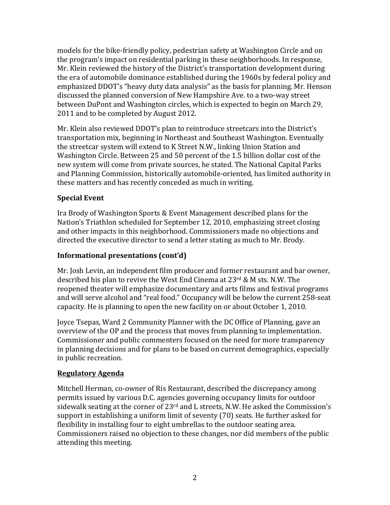models for the bike-friendly policy, pedestrian safety at Washington Circle and on the program's impact on residential parking in these neighborhoods. In response, Mr. Klein reviewed the history of the District's transportation development during the era of automobile dominance established during the 1960s by federal policy and emphasized DDOT's "heavy duty data analysis" as the basis for planning. Mr. Henson discussed the planned conversion of New Hampshire Ave. to a two-way street between DuPont and Washington circles, which is expected to begin on March 29, 2011 and to be completed by August 2012.

Mr. Klein also reviewed DDOT's plan to reintroduce streetcars into the District's transportation mix, beginning in Northeast and Southeast Washington. Eventually the streetcar system will extend to K Street N.W., linking Union Station and Washington Circle. Between 25 and 50 percent of the 1.5 billion dollar cost of the new system will come from private sources, he stated. The National Capital Parks and Planning Commission, historically automobile-oriented, has limited authority in these matters and has recently conceded as much in writing.

# **Special Event**

Ira Brody of Washington Sports & Event Management described plans for the Nation's Triathlon scheduled for September 12, 2010, emphasizing street closing and other impacts in this neighborhood. Commissioners made no objections and directed the executive director to send a letter stating as much to Mr. Brody.

# **Informational presentations (cont'd)**

Mr. Josh Levin, an independent film producer and former restaurant and bar owner, described his plan to revive the West End Cinema at  $23^{rd}$  & M sts. N.W. The reopened theater will emphasize documentary and arts films and festival programs and will serve alcohol and "real food." Occupancy will be below the current 258-seat capacity. He is planning to open the new facility on or about October 1, 2010.

Joyce Tsepas, Ward 2 Community Planner with the DC Office of Planning, gave an overview of the OP and the process that moves from planning to implementation. Commissioner and public commenters focused on the need for more transparency in planning decisions and for plans to be based on current demographics, especially in public recreation.

# **Regulatory Agenda**

Mitchell Herman, co-owner of Ris Restaurant, described the discrepancy among permits issued by various D.C. agencies governing occupancy limits for outdoor sidewalk seating at the corner of  $23<sup>rd</sup>$  and L streets, N.W. He asked the Commission's support in establishing a uniform limit of seventy (70) seats. He further asked for flexibility in installing four to eight umbrellas to the outdoor seating area. Commissioners raised no objection to these changes, nor did members of the public attending this meeting.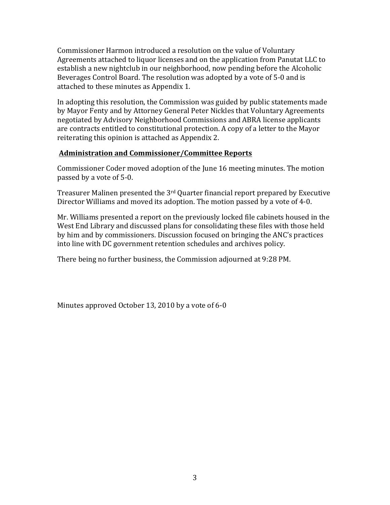Commissioner Harmon introduced a resolution on the value of Voluntary Agreements attached to liquor licenses and on the application from Panutat LLC to establish a new nightclub in our neighborhood, now pending before the Alcoholic Beverages Control Board. The resolution was adopted by a vote of 5-0 and is attached to these minutes as Appendix 1.

In adopting this resolution, the Commission was guided by public statements made by Mayor Fenty and by Attorney General Peter Nickles that Voluntary Agreements negotiated by Advisory Neighborhood Commissions and ABRA license applicants are contracts entitled to constitutional protection. A copy of a letter to the Mayor reiterating this opinion is attached as Appendix 2.

## **Administration and Commissioner/Committee Reports**

Commissioner Coder moved adoption of the June 16 meeting minutes. The motion passed by a vote of 5-0.

Treasurer Malinen presented the  $3<sup>rd</sup>$  Quarter financial report prepared by Executive Director Williams and moved its adoption. The motion passed by a vote of 4-0.

Mr. Williams presented a report on the previously locked file cabinets housed in the West End Library and discussed plans for consolidating these files with those held by him and by commissioners. Discussion focused on bringing the ANC's practices into line with DC government retention schedules and archives policy.

There being no further business, the Commission adjourned at 9:28 PM.

Minutes approved October 13, 2010 by a vote of  $6-0$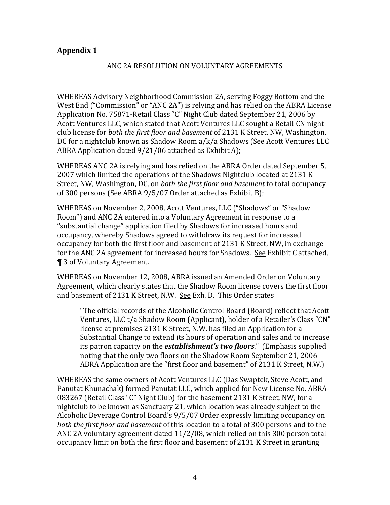# **Appendix 1**

## ANC 2A RESOLUTION ON VOLUNTARY AGREEMENTS

WHEREAS Advisory Neighborhood Commission 2A, serving Foggy Bottom and the West End ("Commission" or "ANC 2A") is relying and has relied on the ABRA License Application No. 75871-Retail Class "C" Night Club dated September 21, 2006 by Acott Ventures LLC, which stated that Acott Ventures LLC sought a Retail CN night club license for *both the first floor and basement* of 2131 K Street, NW, Washington, DC for a nightclub known as Shadow Room a/k/a Shadows (See Acott Ventures LLC ABRA Application dated  $9/21/06$  attached as Exhibit A);

WHEREAS ANC 2A is relying and has relied on the ABRA Order dated September 5, 2007 which limited the operations of the Shadows Nightclub located at 2131 K Street, NW, Washington, DC, on *both the first floor and basement* to total occupancy of 300 persons (See ABRA 9/5/07 Order attached as Exhibit B);

WHEREAS on November 2, 2008, Acott Ventures, LLC ("Shadows" or "Shadow Room") and ANC 2A entered into a Voluntary Agreement in response to a "substantial change" application filed by Shadows for increased hours and occupancy, whereby Shadows agreed to withdraw its request for increased occupancy for both the first floor and basement of 2131 K Street, NW, in exchange for the ANC 2A agreement for increased hours for Shadows. See Exhibit C attached, ¶ 3 of Voluntary Agreement. 

WHEREAS on November 12, 2008, ABRA issued an Amended Order on Voluntary Agreement, which clearly states that the Shadow Room license covers the first floor and basement of 2131 K Street, N.W. See Exh. D. This Order states

"The official records of the Alcoholic Control Board (Board) reflect that Acott Ventures, LLC t/a Shadow Room (Applicant), holder of a Retailer's Class "CN" license at premises 2131 K Street, N.W. has filed an Application for a Substantial Change to extend its hours of operation and sales and to increase its patron capacity on the *establishment's two floors*." (Emphasis supplied noting that the only two floors on the Shadow Room September 21, 2006 ABRA Application are the "first floor and basement" of 2131 K Street, N.W.)

WHEREAS the same owners of Acott Ventures LLC (Das Swaptek, Steve Acott, and Panutat Khunachak) formed Panutat LLC, which applied for New License No. ABRA-083267 (Retail Class "C" Night Club) for the basement 2131 K Street, NW, for a nightclub to be known as Sanctuary 21, which location was already subject to the Alcoholic Beverage Control Board's 9/5/07 Order expressly limiting occupancy on *both the first floor and basement* of this location to a total of 300 persons and to the ANC 2A voluntary agreement dated  $11/2/08$ , which relied on this 300 person total occupancy limit on both the first floor and basement of 2131 K Street in granting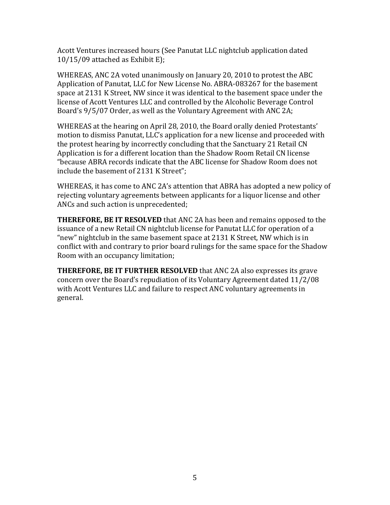Acott Ventures increased hours (See Panutat LLC nightclub application dated  $10/15/09$  attached as Exhibit E);

WHEREAS, ANC 2A voted unanimously on January 20, 2010 to protest the ABC Application of Panutat, LLC for New License No. ABRA-083267 for the basement space at 2131 K Street, NW since it was identical to the basement space under the license of Acott Ventures LLC and controlled by the Alcoholic Beverage Control Board's 9/5/07 Order, as well as the Voluntary Agreement with ANC 2A;

WHEREAS at the hearing on April 28, 2010, the Board orally denied Protestants' motion to dismiss Panutat, LLC's application for a new license and proceeded with the protest hearing by incorrectly concluding that the Sanctuary 21 Retail CN Application is for a different location than the Shadow Room Retail CN license "because ABRA records indicate that the ABC license for Shadow Room does not include the basement of 2131 K Street";

WHEREAS, it has come to ANC 2A's attention that ABRA has adopted a new policy of rejecting voluntary agreements between applicants for a liquor license and other ANCs and such action is unprecedented;

**THEREFORE, BE IT RESOLVED** that ANC 2A has been and remains opposed to the issuance of a new Retail CN nightclub license for Panutat LLC for operation of a "new" nightclub in the same basement space at 2131 K Street, NW which is in conflict with and contrary to prior board rulings for the same space for the Shadow Room with an occupancy limitation;

**THEREFORE, BE IT FURTHER RESOLVED** that ANC 2A also expresses its grave concern over the Board's repudiation of its Voluntary Agreement dated 11/2/08 with Acott Ventures LLC and failure to respect ANC voluntary agreements in general.